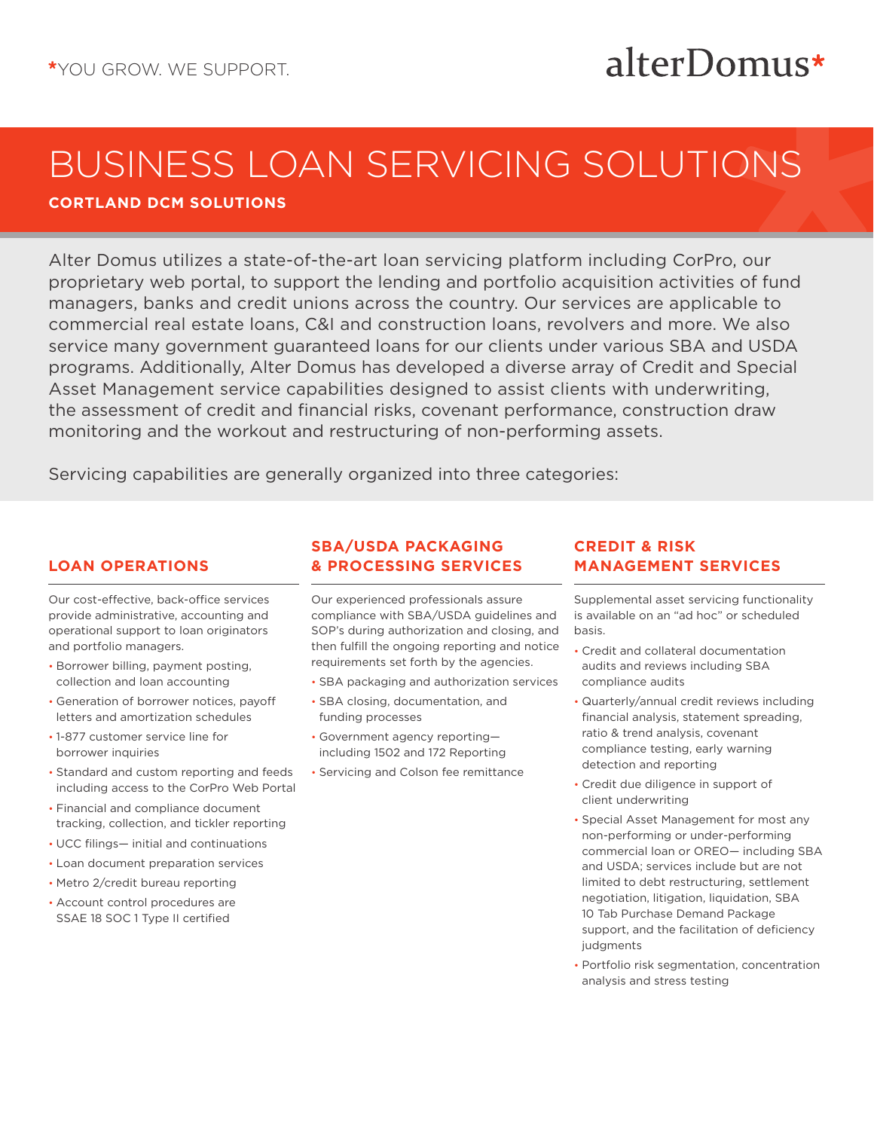# BUSINESS LOAN SERVICING SOLUTIONS

**CORTLAND DCM SOLUTIONS**

Alter Domus utilizes a state-of-the-art loan servicing platform including CorPro, our proprietary web portal, to support the lending and portfolio acquisition activities of fund managers, banks and credit unions across the country. Our services are applicable to commercial real estate loans, C&I and construction loans, revolvers and more. We also service many government guaranteed loans for our clients under various SBA and USDA programs. Additionally, Alter Domus has developed a diverse array of Credit and Special Asset Management service capabilities designed to assist clients with underwriting, the assessment of credit and financial risks, covenant performance, construction draw monitoring and the workout and restructuring of non-performing assets.

Servicing capabilities are generally organized into three categories:

## **LOAN OPERATIONS**

Our cost-effective, back-office services provide administrative, accounting and operational support to loan originators and portfolio managers.

- Borrower billing, payment posting, collection and loan accounting
- Generation of borrower notices, payoff letters and amortization schedules
- 1-877 customer service line for borrower inquiries
- Standard and custom reporting and feeds including access to the CorPro Web Portal
- Financial and compliance document tracking, collection, and tickler reporting
- UCC filings— initial and continuations
- Loan document preparation services
- Metro 2/credit bureau reporting
- Account control procedures are SSAE 18 SOC 1 Type II certified

#### **SBA/USDA PACKAGING & PROCESSING SERVICES**

Our experienced professionals assure compliance with SBA/USDA guidelines and SOP's during authorization and closing, and then fulfill the ongoing reporting and notice requirements set forth by the agencies.

- SBA packaging and authorization services
- SBA closing, documentation, and funding processes
- Government agency reporting including 1502 and 172 Reporting
- Servicing and Colson fee remittance

#### **CREDIT & RISK MANAGEMENT SERVICES**

Supplemental asset servicing functionality is available on an "ad hoc" or scheduled basis.

alterDomus\*

- Credit and collateral documentation audits and reviews including SBA compliance audits
- Quarterly/annual credit reviews including financial analysis, statement spreading, ratio & trend analysis, covenant compliance testing, early warning detection and reporting
- Credit due diligence in support of client underwriting
- Special Asset Management for most any non-performing or under-performing commercial loan or OREO— including SBA and USDA; services include but are not limited to debt restructuring, settlement negotiation, litigation, liquidation, SBA 10 Tab Purchase Demand Package support, and the facilitation of deficiency judgments
- Portfolio risk segmentation, concentration analysis and stress testing